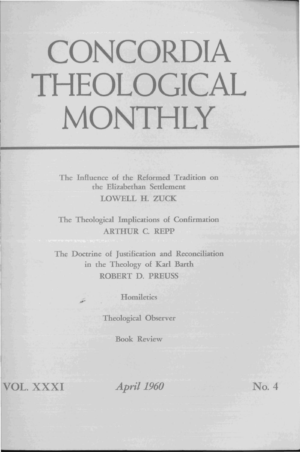## **CONCORDIA THEOLOGICAL MONTHLY**

The Influence of the Reformed Tradition on the Elizabethan Settlement LOWELL H. ZUCK

The Theological Implications of Confirmation ARTHUR C. REPP

The Doctrine of Justification and Reconciliation in the Theology of Karl Barth ROBERT D. PREUSS

**Homiletics** 

Theological Observer

Book Review

VOL. XXXI *April 1960* No.4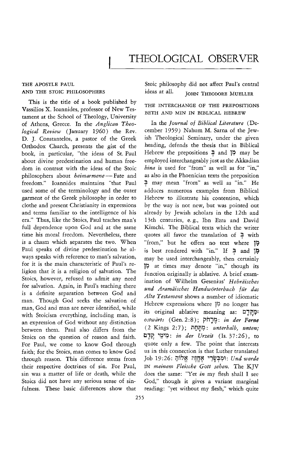## THE APOSTLE PAUL AND THE STOIC PHILOSOPHERS

This is the title of a book published by Vassilios X. Ioannides, professor of New Testament at the School of Theology, University of Athens, Greece. In the *Anglican Theological Review* (January 1960) the Rev. D. J. Constantelos, a pastor of the Greek Orthodox Church, presents the gist of the book, in particular, "the ideas of St. Paul about divine predestination and human freedom in contrast with the ideas of the Stoic philosophers about *heimarmene* - Fate and freedom." Ioannides maintains "that Paul used some of the terminology and the outer garment of the Greek philosophy in order to clothe and present Christianity in expressions and terms familiar to the intelligence of his era:' Thus, like the Stoics, Paul teaches man's full dependence upon God and at the same time his moral freedom. Nevertheless, there is a chasm which separates the two. When Paul speaks of divine predestination he always speaks with reference to man's salvation, for it is the main characteristic of Paul's religion that it is a religion of salvation. The Stoics, however, refused to admit any need for salvation. Again, in Paul's teaching there is a definite separation between God and man. Though God seeks the salvation of man, God and man are never identified, while with Stoicism everything, including man, is an expression of God without any distinction between them. Paul also differs from the Stoics on the question of reason and faith. For Paul, we come to know God through faith; for the Stoics, man comes to know God through reason. This difference stems from their respective doctrines of sin. For Paul, sin was a matter of life or death, while the Stoics did not have any serious sense of sinfulness. These basic differences show that

Stoic philosophy did not affect Paul's central ideas at all. JOHN THEODORE MUELLER

## THE INTERCHANGE OF THE PREPOSITIONS BETH AND MIN IN BIBLICAL HEBREW

In the *Journal of Biblical Literature* (December 1959) Nahum M. Sarna of the Jewish Theological Seminary, under the given heading, defends the thesis that in Biblical Hebrew the prepositions  $\frac{1}{2}$  and  $\frac{1}{2}$  may be employed interchangeably just as the Akkadian *hina* is used for "from" as well as for "in," as also in the Phoenician texts the preposition =;t may mean "from" as well as "in." He adduces numerous examples from Biblical Hebrew to illustrate his contention, which by the way is not new, but was pointed out already by Jewish scholars in the 12th and 13th centuries, e. g., Ibn Ezra and David Kimchi. The Biblical texts which the writer quotes all favor the translation of  $\overline{2}$  with "from," but he offers no text where " is best rendered with "in." If and p may be used interchangeably, then certainly 1~ at times may denote "in," though its function originally is ablative. A brief examination of Wilhelm Gesenius' Hebräisches *U17d Aramaisches Handworterbuch fiir das Alte Testament* shows a number of idiomatic Hebrew expressions where  $\beta$  no longer has its original ablative meaning as: בְּקֶרֶם: *ostwCirts* (Gen.2:8); vi1~~: *in der Ferne*  (2 Kings 2: 7); lilJJ;)1;1: *unterhalb, untenj*  bl7R ")'?"I;I: *in der Urzeit* (Is. 37:26), to quote only a few. The point that interests us in this connection is that Luther translated Job 19:26: iJ~l;l~ ;Im~ "!W~9~: *Und werde*  IN *meinem Fleische Gott sehen.* The KJV does the same: "Yet *in* my flesh shall I see God," though it gives a variant marginal reading: "yet without my flesh," which quite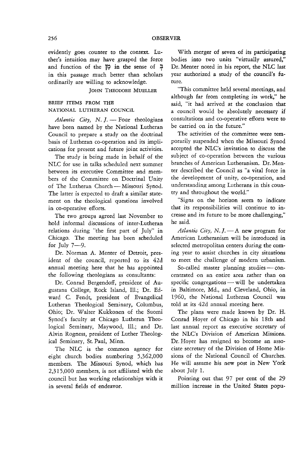evidently goes counter to the context. Luther's intuition may have grasped the force and function of the l~ **in** the sense of f in this passage much better than scholars ordinarily are willing to acknowledge.

JOHN THEODORE MUELLER

## BRIEF ITEMS FROM THE NATIONAL LUTHERAN COUNCIL

*Atlantic City, N. J.* - Four theologians have been named by the National Lutheran Council to prepare a study on the doctrinal basis of Lutheran co-operation and its implications for present and future joint activities.

The study is being made in behalf of the NLC for use in talks scheduled next summer between its executive Committee and members of the Committee on Doctrinal Unity of The Lutheran Church - Missouri Synod. The latter is expected to draft a similar statement on the theological questions involved in co-operative efforts.

The two groups agreed last November to hold informal discussions of inter-Lutheran relations during "the first part of July" in Chicago. The meeting has been scheduled for July  $7-9$ .

Dr. Norman A. Menter of Detroit, president of the council, reported to its 42d annual meeting here that he has appointed the following theologians as consultants:

Dr. Conrad Bergendoff, president of Augustana College, Rock Island, Ill.; Dr. Edward C. Fendt, president of Evangelical Lutheran Theological Seminary, Columbus, Ohio; Dr. Walter Kukkonen of the Suomi Synod's faculty at Chicago Lutheran Theological Seminary, Maywood, Ill.; and Dr. Alvin Rogness, president of Luther Theological Seminary, St. Paul, Minn.

The NLC is the common agency for eight church bodies numbering 5,362,000 members. The Missouri Synod, which has 2,315,000 members, is not affiliated with the council but has working relationships with it in several fields of endeavor.

With merger of seven of its participating bodies into two units "virtually assured," Dr. Menter noted in his report, the NLC last year authorized a study of the council's future.

"This committee held several meetings, and although far from completing its work," he said, "it had arrived at the conclusion that a council would be absolutely necessary if consultations and co-operative efforts were to be carried on in the future."

The activities of the committee were temporarily suspended when the Missouri Synod accepted the NLC's invitation to discuss the subject of co-operation between the various branches of American Lutheranism. Dr. Menter described the Council as "a vital force in the development of unity, co-operation, and understanding among Lutherans in this country and throughout the world."

"Signs on the horizon seem to indicate that its responsibilities will continue to increase and its future to be more challenging," he said.

*Atlantic City, N. J.*  $-A$  new program for American Lutheranism will be introduced in selected metropolitan centers during the coming year to assist churches in city situations to meet the challenge of modern urbanism.

So-called master planning studies  $-$  concentrated on an entire area rather than on specific congregations  $-\text{will}$  be undertaken in Baltimore, Md., and Cleveland, Ohio, in 1960, the National Lutheran Council was told at its 42d annual meeting here.

The plans were made known by Dr. H. Conrad Hoyer of Chicago in his 18th and last annual report as executive secretary of the NLC's Division of American Missions. Dr. Hoyer has resigned to become an associate secretary of the Division of Home Missions of the National Council of Churches. He will assume his new post in New York about July 1.

Pointing out that 97 per cent of the 29 million increase in the United States popu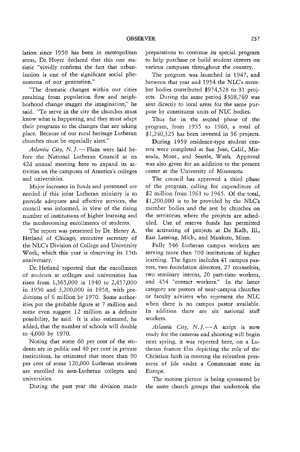lation since 1950 has been in metropolitan areas, Dr. Hoyer declared that this one statistic "vividly confirms the fact that urbanization is one of the significant social phenomena of our generation."

"The dramatic changes within our cities resulting from population flow and neighborhood change stagger the imagination," he said. "To serve in the city the churches must know what is happening, and they must adapt their programs to the changes that are taking place. Because of our rural heritage Lutheran churches must be especially alert."

*Atlantic City, N. J.* - Plans were laid before the National Lutheran Council at its 42d annual meeting here to expand its activities on the campuses of America's colleges and universities.

Major increases in funds and personnel are needed if this joint Lutheran ministry is to provide adequate and effective services, the council was informed, in view of the rising number of institutions of higher learning and the mushrooming enrollments of students.

The report was presented by Dr. Henry A. Hetland of Chicago, executive secretary of the NLC's Division of College and University Work, which this year is observing its 15th anniversary.

Dr. Hetland reported that the enrollment of students at colleges and universities has risen from 1,365,000 in 1940 to 2,457,000 in 1950 and 3,200,000 in 1958, with predictions of 6 million by 1970. Some authorities put the probable figure at 7 million and some even suggest 12 million as a definite possibility, he said. It is also estimated, he added, that the number of schools will double to 4,000 by 1970.

Noting that some 60 per cent of the students are in public and 40 per cent in private institutions, he estimated that more than 90 per cent of some 120,000 Lutheran students are enrolled in non-Lutheran colleges and universities.

During the past year the division made

preparations to continue its special program to help purchase or build student centers on various campuses throughout the country.

The program was launched in 1947, and between that year and 1954 the NLC's member bodies contributed \$974,528 to 31 projects. During the same period \$308,769 was sent directly to local areas for the same purpose by constituent units of NLC bodies.

Thus far in the second phase of the program, from 1955 to 1960, a total of \$1,240,325 has been invested in 36 projects.

During 1959 residence-type student centers were completed at San Jose, Calif., Missoula, Mont., and Seattle, Wash. Approval was also given for an addition to the present center at the University of Minnesota.

The council has approved a third phase of the program, calling for expenditure of \$2 million from 1961 to 1965. Of the total,  $$1,200,000$  is to be provided by the NLC's member bodies and the rest by churches on the territories where the projects are scheduled. Use of reserve funds has permitted the activating of projects at De Kalb, Ill., East Lansing, Mich., and Mankato, Minn.

Fully 546 Lutheran campus workers are serving more than 700 institutions of higher learning. The figure includes 41 campus pastors, two foundation directors, 27 counselors, two seminary interns, 20 part-time workers, and 454 "contact workers." In the latter category are pastors of near-campus churches or faculty advisers who represent the NLC when there is no campus pastor available. In addition there are six national staff workers.

*Atlantic City, N. J.* - A script is now ready for the cameras and shooting will begin next spring, it was reported here, on a Lutheran feature film depicting the role of the Christian faith in meeting the relentless pressures of life under a Communist state in Europe.

The motion picture is being sponsored by the same church groups that undertook the